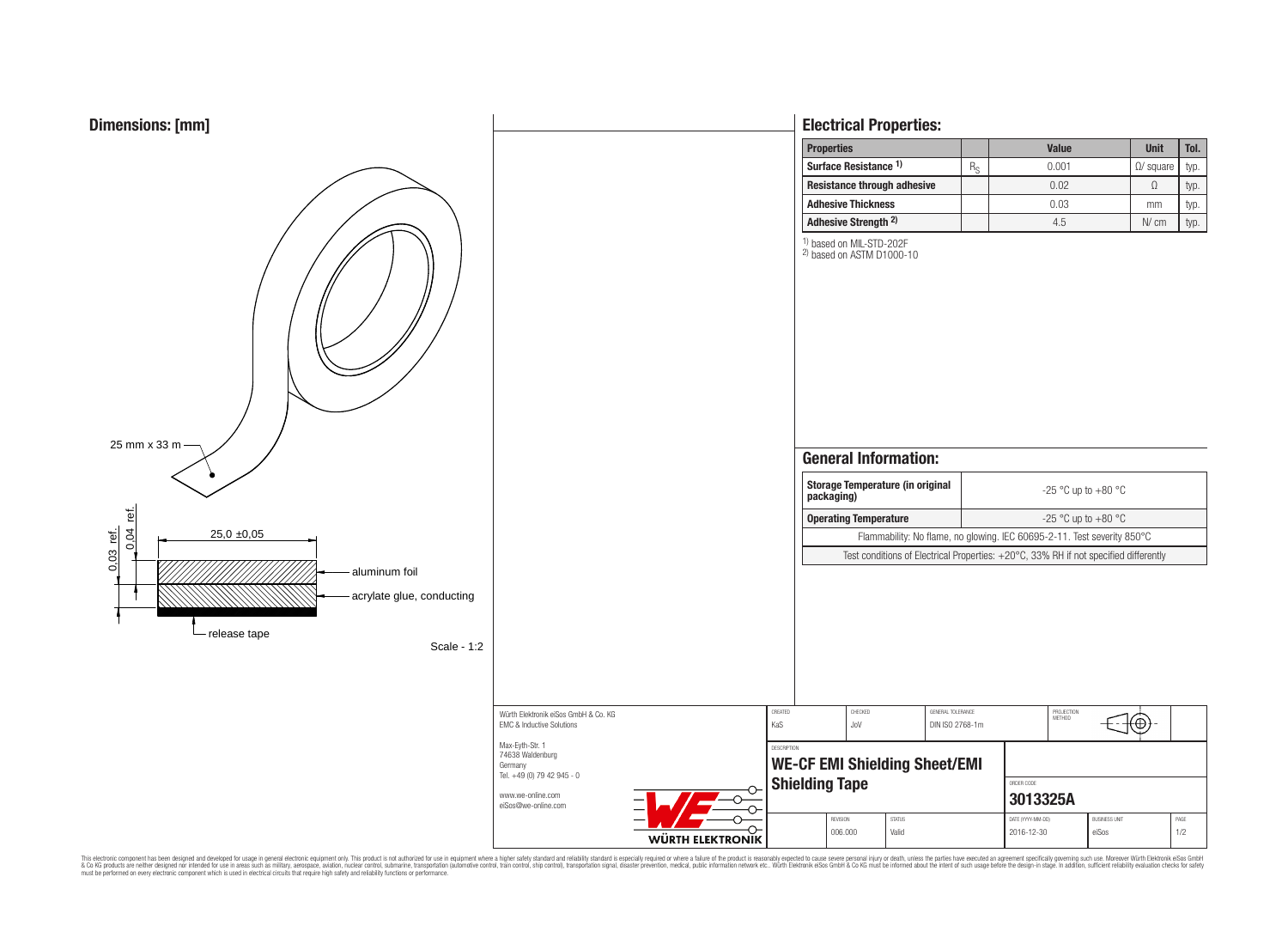

0,03 ref.



This electronic component has been designed and developed for usage in general electronic equipment only. This product is not authorized for subserved requipment where a higher safely standard including only ended in produ

# **Electrical Properties:**

| <b>Properties</b>               |                                    |    | <b>Value</b> | <b>Unit</b>       | Tol. |
|---------------------------------|------------------------------------|----|--------------|-------------------|------|
| Surface Resistance 1)           |                                    | Re | 0.001        | $\Omega$ / square | typ. |
|                                 | <b>Resistance through adhesive</b> |    | 0.02         |                   | typ. |
| <b>Adhesive Thickness</b>       |                                    |    | 0.03         | mm                | typ. |
| Adhesive Strength <sup>2)</sup> |                                    |    | 4.5          | N/cm              | typ. |

 $\oplus$